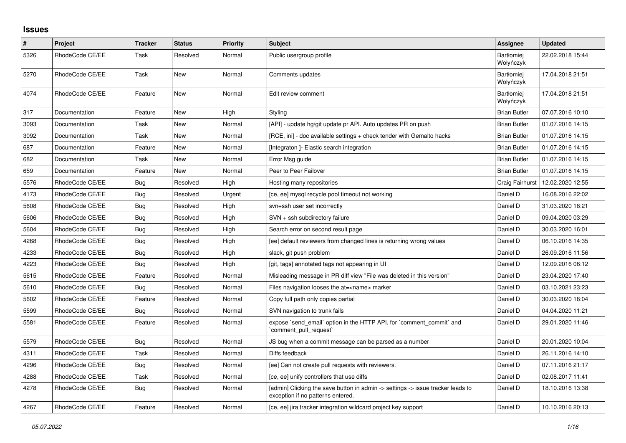## **Issues**

| $\#$ | Project         | <b>Tracker</b> | <b>Status</b> | <b>Priority</b> | <b>Subject</b>                                                                                                       | Assignee                       | <b>Updated</b>   |
|------|-----------------|----------------|---------------|-----------------|----------------------------------------------------------------------------------------------------------------------|--------------------------------|------------------|
| 5326 | RhodeCode CE/EE | Task           | Resolved      | Normal          | Public usergroup profile                                                                                             | <b>Bartłomiej</b><br>Wołyńczyk | 22.02.2018 15:44 |
| 5270 | RhodeCode CE/EE | Task           | <b>New</b>    | Normal          | Comments updates                                                                                                     | <b>Bartlomiej</b><br>Wołyńczyk | 17.04.2018 21:51 |
| 4074 | RhodeCode CE/EE | Feature        | <b>New</b>    | Normal          | Edit review comment                                                                                                  | <b>Bartłomiei</b><br>Wołyńczyk | 17.04.2018 21:51 |
| 317  | Documentation   | Feature        | <b>New</b>    | High            | Styling                                                                                                              | <b>Brian Butler</b>            | 07.07.2016 10:10 |
| 3093 | Documentation   | Task           | New           | Normal          | [API] - update hg/git update pr API. Auto updates PR on push                                                         | <b>Brian Butler</b>            | 01.07.2016 14:15 |
| 3092 | Documentation   | Task           | New           | Normal          | [RCE, ini] - doc available settings + check tender with Gemalto hacks                                                | <b>Brian Butler</b>            | 01.07.2016 14:15 |
| 687  | Documentation   | Feature        | <b>New</b>    | Normal          | [Integraton] - Elastic search integration                                                                            | <b>Brian Butler</b>            | 01.07.2016 14:15 |
| 682  | Documentation   | Task           | New           | Normal          | Error Msg guide                                                                                                      | <b>Brian Butler</b>            | 01.07.2016 14:15 |
| 659  | Documentation   | Feature        | <b>New</b>    | Normal          | Peer to Peer Failover                                                                                                | <b>Brian Butler</b>            | 01.07.2016 14:15 |
| 5576 | RhodeCode CE/EE | <b>Bug</b>     | Resolved      | High            | Hosting many repositories                                                                                            | Craig Fairhurst                | 12.02.2020 12:55 |
| 4173 | RhodeCode CE/EE | Bug            | Resolved      | Urgent          | [ce, ee] mysql recycle pool timeout not working                                                                      | Daniel D                       | 16.08.2016 22:02 |
| 5608 | RhodeCode CE/EE | Bug            | Resolved      | High            | svn+ssh user set incorrectly                                                                                         | Daniel D                       | 31.03.2020 18:21 |
| 5606 | RhodeCode CE/EE | Bug            | Resolved      | High            | SVN + ssh subdirectory failure                                                                                       | Daniel D                       | 09.04.2020 03:29 |
| 5604 | RhodeCode CE/EE | Bug            | Resolved      | High            | Search error on second result page                                                                                   | Daniel D                       | 30.03.2020 16:01 |
| 4268 | RhodeCode CE/EE | <b>Bug</b>     | Resolved      | High            | [ee] default reviewers from changed lines is returning wrong values                                                  | Daniel D                       | 06.10.2016 14:35 |
| 4233 | RhodeCode CE/EE | Bug            | Resolved      | High            | slack, git push problem                                                                                              | Daniel D                       | 26.09.2016 11:56 |
| 4223 | RhodeCode CE/EE | Bug            | Resolved      | High            | [git, tags] annotated tags not appearing in UI                                                                       | Daniel D                       | 12.09.2016 06:12 |
| 5615 | RhodeCode CE/EE | Feature        | Resolved      | Normal          | Misleading message in PR diff view "File was deleted in this version"                                                | Daniel D                       | 23.04.2020 17:40 |
| 5610 | RhodeCode CE/EE | Bug            | Resolved      | Normal          | Files navigation looses the at= <name> marker</name>                                                                 | Daniel D                       | 03.10.2021 23:23 |
| 5602 | RhodeCode CE/EE | Feature        | Resolved      | Normal          | Copy full path only copies partial                                                                                   | Daniel D                       | 30.03.2020 16:04 |
| 5599 | RhodeCode CE/EE | Bug            | Resolved      | Normal          | SVN navigation to trunk fails                                                                                        | Daniel D                       | 04.04.2020 11:21 |
| 5581 | RhodeCode CE/EE | Feature        | Resolved      | Normal          | expose `send_email` option in the HTTP API, for `comment_commit` and<br>`comment_pull_request`                       | Daniel D                       | 29.01.2020 11:46 |
| 5579 | RhodeCode CE/EE | Bug            | Resolved      | Normal          | JS bug when a commit message can be parsed as a number                                                               | Daniel D                       | 20.01.2020 10:04 |
| 4311 | RhodeCode CE/EE | Task           | Resolved      | Normal          | Diffs feedback                                                                                                       | Daniel D                       | 26.11.2016 14:10 |
| 4296 | RhodeCode CE/EE | Bug            | Resolved      | Normal          | [ee] Can not create pull requests with reviewers.                                                                    | Daniel D                       | 07.11.2016 21:17 |
| 4288 | RhodeCode CE/EE | Task           | Resolved      | Normal          | [ce, ee] unify controllers that use diffs                                                                            | Daniel D                       | 02.08.2017 11:41 |
| 4278 | RhodeCode CE/EE | Bug            | Resolved      | Normal          | [admin] Clicking the save button in admin -> settings -> issue tracker leads to<br>exception if no patterns entered. | Daniel D                       | 18.10.2016 13:38 |
| 4267 | RhodeCode CE/EE | Feature        | Resolved      | Normal          | [ce, ee] jira tracker integration wildcard project key support                                                       | Daniel D                       | 10.10.2016 20:13 |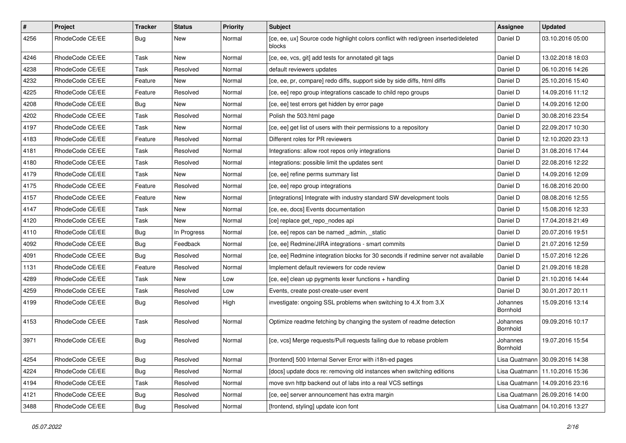| $\sharp$ | Project         | <b>Tracker</b> | <b>Status</b> | <b>Priority</b> | <b>Subject</b>                                                                               | Assignee             | <b>Updated</b>                   |
|----------|-----------------|----------------|---------------|-----------------|----------------------------------------------------------------------------------------------|----------------------|----------------------------------|
| 4256     | RhodeCode CE/EE | Bug            | New           | Normal          | [ce, ee, ux] Source code highlight colors conflict with red/green inserted/deleted<br>blocks | Daniel D             | 03.10.2016 05:00                 |
| 4246     | RhodeCode CE/EE | Task           | <b>New</b>    | Normal          | [ce, ee, vcs, git] add tests for annotated git tags                                          | Daniel D             | 13.02.2018 18:03                 |
| 4238     | RhodeCode CE/EE | Task           | Resolved      | Normal          | default reviewers updates                                                                    | Daniel D             | 06.10.2016 14:26                 |
| 4232     | RhodeCode CE/EE | Feature        | <b>New</b>    | Normal          | [ce, ee, pr, compare] redo diffs, support side by side diffs, html diffs                     | Daniel D             | 25.10.2016 15:40                 |
| 4225     | RhodeCode CE/EE | Feature        | Resolved      | Normal          | [ce, ee] repo group integrations cascade to child repo groups                                | Daniel D             | 14.09.2016 11:12                 |
| 4208     | RhodeCode CE/EE | Bug            | <b>New</b>    | Normal          | [ce, ee] test errors get hidden by error page                                                | Daniel D             | 14.09.2016 12:00                 |
| 4202     | RhodeCode CE/EE | Task           | Resolved      | Normal          | Polish the 503.html page                                                                     | Daniel D             | 30.08.2016 23:54                 |
| 4197     | RhodeCode CE/EE | Task           | New           | Normal          | [ce, ee] get list of users with their permissions to a repository                            | Daniel D             | 22.09.2017 10:30                 |
| 4183     | RhodeCode CE/EE | Feature        | Resolved      | Normal          | Different roles for PR reviewers                                                             | Daniel D             | 12.10.2020 23:13                 |
| 4181     | RhodeCode CE/EE | Task           | Resolved      | Normal          | Integrations: allow root repos only integrations                                             | Daniel D             | 31.08.2016 17:44                 |
| 4180     | RhodeCode CE/EE | Task           | Resolved      | Normal          | integrations: possible limit the updates sent                                                | Daniel D             | 22.08.2016 12:22                 |
| 4179     | RhodeCode CE/EE | Task           | <b>New</b>    | Normal          | [ce, ee] refine perms summary list                                                           | Daniel D             | 14.09.2016 12:09                 |
| 4175     | RhodeCode CE/EE | Feature        | Resolved      | Normal          | [ce, ee] repo group integrations                                                             | Daniel D             | 16.08.2016 20:00                 |
| 4157     | RhodeCode CE/EE | Feature        | New           | Normal          | [integrations] Integrate with industry standard SW development tools                         | Daniel D             | 08.08.2016 12:55                 |
| 4147     | RhodeCode CE/EE | Task           | New           | Normal          | [ce, ee, docs] Events documentation                                                          | Daniel D             | 15.08.2016 12:33                 |
| 4120     | RhodeCode CE/EE | Task           | New           | Normal          | [ce] replace get_repo_nodes api                                                              | Daniel D             | 17.04.2018 21:49                 |
| 4110     | RhodeCode CE/EE | Bug            | In Progress   | Normal          | [ce, ee] repos can be named _admin, _static                                                  | Daniel D             | 20.07.2016 19:51                 |
| 4092     | RhodeCode CE/EE | Bug            | Feedback      | Normal          | [ce, ee] Redmine/JIRA integrations - smart commits                                           | Daniel D             | 21.07.2016 12:59                 |
| 4091     | RhodeCode CE/EE | Bug            | Resolved      | Normal          | [ce, ee] Redmine integration blocks for 30 seconds if redmine server not available           | Daniel D             | 15.07.2016 12:26                 |
| 1131     | RhodeCode CE/EE | Feature        | Resolved      | Normal          | Implement default reviewers for code review                                                  | Daniel D             | 21.09.2016 18:28                 |
| 4289     | RhodeCode CE/EE | Task           | New           | Low             | [ce, ee] clean up pygments lexer functions + handling                                        | Daniel D             | 21.10.2016 14:44                 |
| 4259     | RhodeCode CE/EE | Task           | Resolved      | Low             | Events, create post-create-user event                                                        | Daniel D             | 30.01.2017 20:11                 |
| 4199     | RhodeCode CE/EE | Bug            | Resolved      | High            | investigate: ongoing SSL problems when switching to 4.X from 3.X                             | Johannes<br>Bornhold | 15.09.2016 13:14                 |
| 4153     | RhodeCode CE/EE | Task           | Resolved      | Normal          | Optimize readme fetching by changing the system of readme detection                          | Johannes<br>Bornhold | 09.09.2016 10:17                 |
| 3971     | RhodeCode CE/EE | Bug            | Resolved      | Normal          | [ce, vcs] Merge requests/Pull requests failing due to rebase problem                         | Johannes<br>Bornhold | 19.07.2016 15:54                 |
| 4254     | RhodeCode CE/EE | Bug            | Resolved      | Normal          | [frontend] 500 Internal Server Error with i18n-ed pages                                      |                      | Lisa Quatmann 30.09.2016 14:38   |
| 4224     | RhodeCode CE/EE | Bug            | Resolved      | Normal          | [docs] update docs re: removing old instances when switching editions                        |                      | Lisa Quatmann   11.10.2016 15:36 |
| 4194     | RhodeCode CE/EE | Task           | Resolved      | Normal          | move svn http backend out of labs into a real VCS settings                                   |                      | Lisa Quatmann   14.09.2016 23:16 |
| 4121     | RhodeCode CE/EE | <b>Bug</b>     | Resolved      | Normal          | [ce, ee] server announcement has extra margin                                                |                      | Lisa Quatmann   26.09.2016 14:00 |
| 3488     | RhodeCode CE/EE | <b>Bug</b>     | Resolved      | Normal          | [frontend, styling] update icon font                                                         |                      | Lisa Quatmann   04.10.2016 13:27 |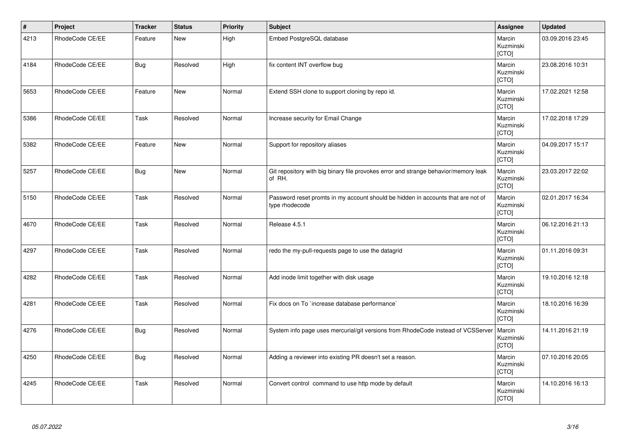| $\vert$ # | Project         | <b>Tracker</b> | <b>Status</b> | <b>Priority</b> | <b>Subject</b>                                                                                     | Assignee                     | <b>Updated</b>   |
|-----------|-----------------|----------------|---------------|-----------------|----------------------------------------------------------------------------------------------------|------------------------------|------------------|
| 4213      | RhodeCode CE/EE | Feature        | <b>New</b>    | High            | Embed PostgreSQL database                                                                          | Marcin<br>Kuzminski<br>[CTO] | 03.09.2016 23:45 |
| 4184      | RhodeCode CE/EE | <b>Bug</b>     | Resolved      | High            | fix content INT overflow bug                                                                       | Marcin<br>Kuzminski<br>[CTO] | 23.08.2016 10:31 |
| 5653      | RhodeCode CE/EE | Feature        | <b>New</b>    | Normal          | Extend SSH clone to support cloning by repo id.                                                    | Marcin<br>Kuzminski<br>[CTO] | 17.02.2021 12:58 |
| 5386      | RhodeCode CE/EE | Task           | Resolved      | Normal          | Increase security for Email Change                                                                 | Marcin<br>Kuzminski<br>[CTO] | 17.02.2018 17:29 |
| 5382      | RhodeCode CE/EE | Feature        | <b>New</b>    | Normal          | Support for repository aliases                                                                     | Marcin<br>Kuzminski<br>[CTO] | 04.09.2017 15:17 |
| 5257      | RhodeCode CE/EE | <b>Bug</b>     | New           | Normal          | Git repository with big binary file provokes error and strange behavior/memory leak<br>of RH.      | Marcin<br>Kuzminski<br>[CTO] | 23.03.2017 22:02 |
| 5150      | RhodeCode CE/EE | Task           | Resolved      | Normal          | Password reset promts in my account should be hidden in accounts that are not of<br>type rhodecode | Marcin<br>Kuzminski<br>[CTO] | 02.01.2017 16:34 |
| 4670      | RhodeCode CE/EE | Task           | Resolved      | Normal          | Release 4.5.1                                                                                      | Marcin<br>Kuzminski<br>[CTO] | 06.12.2016 21:13 |
| 4297      | RhodeCode CE/EE | Task           | Resolved      | Normal          | redo the my-pull-requests page to use the datagrid                                                 | Marcin<br>Kuzminski<br>[CTO] | 01.11.2016 09:31 |
| 4282      | RhodeCode CE/EE | Task           | Resolved      | Normal          | Add inode limit together with disk usage                                                           | Marcin<br>Kuzminski<br>[CTO] | 19.10.2016 12:18 |
| 4281      | RhodeCode CE/EE | Task           | Resolved      | Normal          | Fix docs on To `increase database performance`                                                     | Marcin<br>Kuzminski<br>[CTO] | 18.10.2016 16:39 |
| 4276      | RhodeCode CE/EE | <b>Bug</b>     | Resolved      | Normal          | System info page uses mercurial/git versions from RhodeCode instead of VCSServer                   | Marcin<br>Kuzminski<br>[CTO] | 14.11.2016 21:19 |
| 4250      | RhodeCode CE/EE | <b>Bug</b>     | Resolved      | Normal          | Adding a reviewer into existing PR doesn't set a reason.                                           | Marcin<br>Kuzminski<br>[CTO] | 07.10.2016 20:05 |
| 4245      | RhodeCode CE/EE | Task           | Resolved      | Normal          | Convert control command to use http mode by default                                                | Marcin<br>Kuzminski<br>[CTO] | 14.10.2016 16:13 |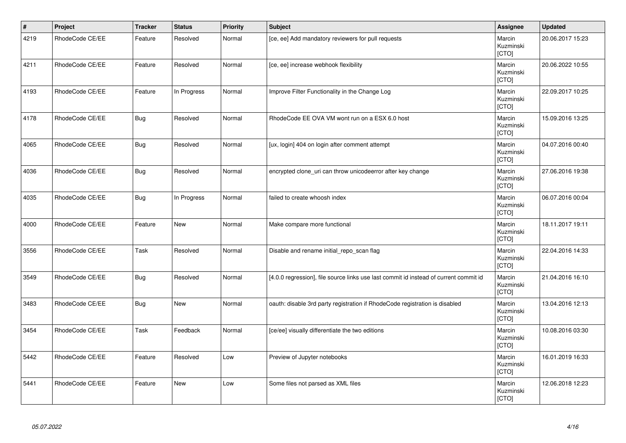| $\vert$ # | Project         | <b>Tracker</b> | <b>Status</b> | <b>Priority</b> | <b>Subject</b>                                                                        | Assignee                     | <b>Updated</b>   |
|-----------|-----------------|----------------|---------------|-----------------|---------------------------------------------------------------------------------------|------------------------------|------------------|
| 4219      | RhodeCode CE/EE | Feature        | Resolved      | Normal          | [ce, ee] Add mandatory reviewers for pull requests                                    | Marcin<br>Kuzminski<br>[CTO] | 20.06.2017 15:23 |
| 4211      | RhodeCode CE/EE | Feature        | Resolved      | Normal          | [ce, ee] increase webhook flexibility                                                 | Marcin<br>Kuzminski<br>[CTO] | 20.06.2022 10:55 |
| 4193      | RhodeCode CE/EE | Feature        | In Progress   | Normal          | Improve Filter Functionality in the Change Log                                        | Marcin<br>Kuzminski<br>[CTO] | 22.09.2017 10:25 |
| 4178      | RhodeCode CE/EE | <b>Bug</b>     | Resolved      | Normal          | RhodeCode EE OVA VM wont run on a ESX 6.0 host                                        | Marcin<br>Kuzminski<br>[CTO] | 15.09.2016 13:25 |
| 4065      | RhodeCode CE/EE | <b>Bug</b>     | Resolved      | Normal          | [ux, login] 404 on login after comment attempt                                        | Marcin<br>Kuzminski<br>[CTO] | 04.07.2016 00:40 |
| 4036      | RhodeCode CE/EE | <b>Bug</b>     | Resolved      | Normal          | encrypted clone_uri can throw unicodeerror after key change                           | Marcin<br>Kuzminski<br>[CTO] | 27.06.2016 19:38 |
| 4035      | RhodeCode CE/EE | <b>Bug</b>     | In Progress   | Normal          | failed to create whoosh index                                                         | Marcin<br>Kuzminski<br>[CTO] | 06.07.2016 00:04 |
| 4000      | RhodeCode CE/EE | Feature        | <b>New</b>    | Normal          | Make compare more functional                                                          | Marcin<br>Kuzminski<br>[CTO] | 18.11.2017 19:11 |
| 3556      | RhodeCode CE/EE | Task           | Resolved      | Normal          | Disable and rename initial_repo_scan flag                                             | Marcin<br>Kuzminski<br>[CTO] | 22.04.2016 14:33 |
| 3549      | RhodeCode CE/EE | Bug            | Resolved      | Normal          | [4.0.0 regression], file source links use last commit id instead of current commit id | Marcin<br>Kuzminski<br>[CTO] | 21.04.2016 16:10 |
| 3483      | RhodeCode CE/EE | <b>Bug</b>     | <b>New</b>    | Normal          | oauth: disable 3rd party registration if RhodeCode registration is disabled           | Marcin<br>Kuzminski<br>[CTO] | 13.04.2016 12:13 |
| 3454      | RhodeCode CE/EE | Task           | Feedback      | Normal          | [ce/ee] visually differentiate the two editions                                       | Marcin<br>Kuzminski<br>[CTO] | 10.08.2016 03:30 |
| 5442      | RhodeCode CE/EE | Feature        | Resolved      | Low             | Preview of Jupyter notebooks                                                          | Marcin<br>Kuzminski<br>[CTO] | 16.01.2019 16:33 |
| 5441      | RhodeCode CE/EE | Feature        | <b>New</b>    | Low             | Some files not parsed as XML files                                                    | Marcin<br>Kuzminski<br>[CTO] | 12.06.2018 12:23 |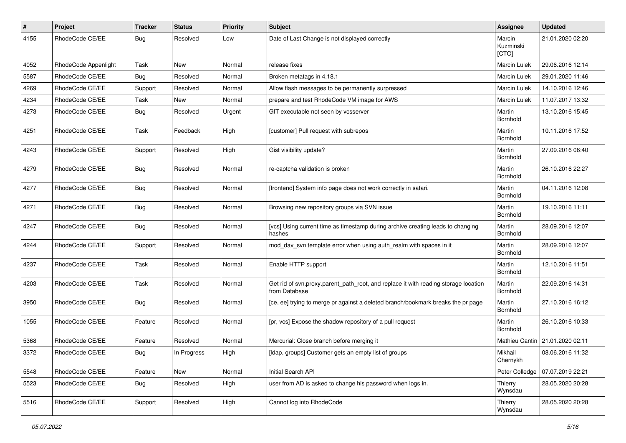| $\pmb{\#}$ | Project              | <b>Tracker</b> | <b>Status</b> | <b>Priority</b> | <b>Subject</b>                                                                                       | Assignee                     | <b>Updated</b>                    |
|------------|----------------------|----------------|---------------|-----------------|------------------------------------------------------------------------------------------------------|------------------------------|-----------------------------------|
| 4155       | RhodeCode CE/EE      | Bug            | Resolved      | Low             | Date of Last Change is not displayed correctly                                                       | Marcin<br>Kuzminski<br>[CTO] | 21.01.2020 02:20                  |
| 4052       | RhodeCode Appenlight | Task           | New           | Normal          | release fixes                                                                                        | Marcin Lulek                 | 29.06.2016 12:14                  |
| 5587       | RhodeCode CE/EE      | Bug            | Resolved      | Normal          | Broken metatags in 4.18.1                                                                            | Marcin Lulek                 | 29.01.2020 11:46                  |
| 4269       | RhodeCode CE/EE      | Support        | Resolved      | Normal          | Allow flash messages to be permanently surpressed                                                    | Marcin Lulek                 | 14.10.2016 12:46                  |
| 4234       | RhodeCode CE/EE      | Task           | New           | Normal          | prepare and test RhodeCode VM image for AWS                                                          | Marcin Lulek                 | 11.07.2017 13:32                  |
| 4273       | RhodeCode CE/EE      | Bug            | Resolved      | Urgent          | GIT executable not seen by vcsserver                                                                 | Martin<br>Bornhold           | 13.10.2016 15:45                  |
| 4251       | RhodeCode CE/EE      | Task           | Feedback      | High            | [customer] Pull request with subrepos                                                                | Martin<br>Bornhold           | 10.11.2016 17:52                  |
| 4243       | RhodeCode CE/EE      | Support        | Resolved      | High            | Gist visibility update?                                                                              | Martin<br>Bornhold           | 27.09.2016 06:40                  |
| 4279       | RhodeCode CE/EE      | Bug            | Resolved      | Normal          | re-captcha validation is broken                                                                      | Martin<br>Bornhold           | 26.10.2016 22:27                  |
| 4277       | RhodeCode CE/EE      | Bug            | Resolved      | Normal          | [frontend] System info page does not work correctly in safari.                                       | Martin<br>Bornhold           | 04.11.2016 12:08                  |
| 4271       | RhodeCode CE/EE      | Bug            | Resolved      | Normal          | Browsing new repository groups via SVN issue                                                         | Martin<br>Bornhold           | 19.10.2016 11:11                  |
| 4247       | RhodeCode CE/EE      | Bug            | Resolved      | Normal          | [vcs] Using current time as timestamp during archive creating leads to changing<br>hashes            | Martin<br>Bornhold           | 28.09.2016 12:07                  |
| 4244       | RhodeCode CE/EE      | Support        | Resolved      | Normal          | mod_dav_svn template error when using auth_realm with spaces in it                                   | Martin<br>Bornhold           | 28.09.2016 12:07                  |
| 4237       | RhodeCode CE/EE      | Task           | Resolved      | Normal          | Enable HTTP support                                                                                  | Martin<br>Bornhold           | 12.10.2016 11:51                  |
| 4203       | RhodeCode CE/EE      | Task           | Resolved      | Normal          | Get rid of svn.proxy.parent_path_root, and replace it with reading storage location<br>from Database | Martin<br>Bornhold           | 22.09.2016 14:31                  |
| 3950       | RhodeCode CE/EE      | Bug            | Resolved      | Normal          | [ce, ee] trying to merge pr against a deleted branch/bookmark breaks the pr page                     | Martin<br>Bornhold           | 27.10.2016 16:12                  |
| 1055       | RhodeCode CE/EE      | Feature        | Resolved      | Normal          | [pr, vcs] Expose the shadow repository of a pull request                                             | Martin<br>Bornhold           | 26.10.2016 10:33                  |
| 5368       | RhodeCode CE/EE      | Feature        | Resolved      | Normal          | Mercurial: Close branch before merging it                                                            |                              | Mathieu Cantin   21.01.2020 02:11 |
| 3372       | RhodeCode CE/EE      | Bug            | In Progress   | High            | [Idap, groups] Customer gets an empty list of groups                                                 | Mikhail<br>Chernykh          | 08.06.2016 11:32                  |
| 5548       | RhodeCode CE/EE      | Feature        | New           | Normal          | Initial Search API                                                                                   | Peter Colledge               | 07.07.2019 22:21                  |
| 5523       | RhodeCode CE/EE      | Bug            | Resolved      | High            | user from AD is asked to change his password when logs in.                                           | Thierry<br>Wynsdau           | 28.05.2020 20:28                  |
| 5516       | RhodeCode CE/EE      | Support        | Resolved      | High            | Cannot log into RhodeCode                                                                            | Thierry<br>Wynsdau           | 28.05.2020 20:28                  |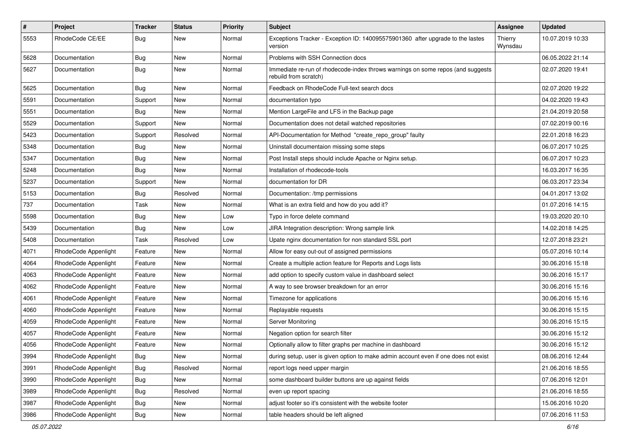| $\#$ | Project              | <b>Tracker</b> | <b>Status</b> | <b>Priority</b> | <b>Subject</b>                                                                                           | Assignee           | <b>Updated</b>   |
|------|----------------------|----------------|---------------|-----------------|----------------------------------------------------------------------------------------------------------|--------------------|------------------|
| 5553 | RhodeCode CE/EE      | Bug            | New           | Normal          | Exceptions Tracker - Exception ID: 140095575901360 after upgrade to the lastes<br>version                | Thierry<br>Wynsdau | 10.07.2019 10:33 |
| 5628 | Documentation        | <b>Bug</b>     | New           | Normal          | Problems with SSH Connection docs                                                                        |                    | 06.05.2022 21:14 |
| 5627 | Documentation        | <b>Bug</b>     | New           | Normal          | Immediate re-run of rhodecode-index throws warnings on some repos (and suggests<br>rebuild from scratch) |                    | 02.07.2020 19:41 |
| 5625 | Documentation        | Bug            | <b>New</b>    | Normal          | Feedback on RhodeCode Full-text search docs                                                              |                    | 02.07.2020 19:22 |
| 5591 | Documentation        | Support        | New           | Normal          | documentation typo                                                                                       |                    | 04.02.2020 19:43 |
| 5551 | Documentation        | <b>Bug</b>     | New           | Normal          | Mention LargeFile and LFS in the Backup page                                                             |                    | 21.04.2019 20:58 |
| 5529 | Documentation        | Support        | <b>New</b>    | Normal          | Documentation does not detail watched repositories                                                       |                    | 07.02.2019 00:16 |
| 5423 | Documentation        | Support        | Resolved      | Normal          | API-Documentation for Method "create_repo_group" faulty                                                  |                    | 22.01.2018 16:23 |
| 5348 | Documentation        | <b>Bug</b>     | New           | Normal          | Uninstall documentaion missing some steps                                                                |                    | 06.07.2017 10:25 |
| 5347 | Documentation        | <b>Bug</b>     | New           | Normal          | Post Install steps should include Apache or Nginx setup.                                                 |                    | 06.07.2017 10:23 |
| 5248 | Documentation        | <b>Bug</b>     | <b>New</b>    | Normal          | Installation of rhodecode-tools                                                                          |                    | 16.03.2017 16:35 |
| 5237 | Documentation        | Support        | New           | Normal          | documentation for DR                                                                                     |                    | 06.03.2017 23:34 |
| 5153 | Documentation        | <b>Bug</b>     | Resolved      | Normal          | Documentation: /tmp permissions                                                                          |                    | 04.01.2017 13:02 |
| 737  | Documentation        | Task           | New           | Normal          | What is an extra field and how do you add it?                                                            |                    | 01.07.2016 14:15 |
| 5598 | Documentation        | <b>Bug</b>     | New           | Low             | Typo in force delete command                                                                             |                    | 19.03.2020 20:10 |
| 5439 | Documentation        | Bug            | <b>New</b>    | Low             | JIRA Integration description: Wrong sample link                                                          |                    | 14.02.2018 14:25 |
| 5408 | Documentation        | Task           | Resolved      | Low             | Upate nginx documentation for non standard SSL port                                                      |                    | 12.07.2018 23:21 |
| 4071 | RhodeCode Appenlight | Feature        | New           | Normal          | Allow for easy out-out of assigned permissions                                                           |                    | 05.07.2016 10:14 |
| 4064 | RhodeCode Appenlight | Feature        | New           | Normal          | Create a multiple action feature for Reports and Logs lists                                              |                    | 30.06.2016 15:18 |
| 4063 | RhodeCode Appenlight | Feature        | New           | Normal          | add option to specify custom value in dashboard select                                                   |                    | 30.06.2016 15:17 |
| 4062 | RhodeCode Appenlight | Feature        | <b>New</b>    | Normal          | A way to see browser breakdown for an error                                                              |                    | 30.06.2016 15:16 |
| 4061 | RhodeCode Appenlight | Feature        | New           | Normal          | Timezone for applications                                                                                |                    | 30.06.2016 15:16 |
| 4060 | RhodeCode Appenlight | Feature        | New           | Normal          | Replayable requests                                                                                      |                    | 30.06.2016 15:15 |
| 4059 | RhodeCode Appenlight | Feature        | <b>New</b>    | Normal          | Server Monitoring                                                                                        |                    | 30.06.2016 15:15 |
| 4057 | RhodeCode Appenlight | Feature        | New           | Normal          | Negation option for search filter                                                                        |                    | 30.06.2016 15:12 |
| 4056 | RhodeCode Appenlight | Feature        | New           | Normal          | Optionally allow to filter graphs per machine in dashboard                                               |                    | 30.06.2016 15:12 |
| 3994 | RhodeCode Appenlight | <b>Bug</b>     | New           | Normal          | during setup, user is given option to make admin account even if one does not exist                      |                    | 08.06.2016 12:44 |
| 3991 | RhodeCode Appenlight | <b>Bug</b>     | Resolved      | Normal          | report logs need upper margin                                                                            |                    | 21.06.2016 18:55 |
| 3990 | RhodeCode Appenlight | <b>Bug</b>     | <b>New</b>    | Normal          | some dashboard builder buttons are up against fields                                                     |                    | 07.06.2016 12:01 |
| 3989 | RhodeCode Appenlight | Bug            | Resolved      | Normal          | even up report spacing                                                                                   |                    | 21.06.2016 18:55 |
| 3987 | RhodeCode Appenlight | <b>Bug</b>     | New           | Normal          | adjust footer so it's consistent with the website footer                                                 |                    | 15.06.2016 10:20 |
| 3986 | RhodeCode Appenlight | <b>Bug</b>     | New           | Normal          | table headers should be left aligned                                                                     |                    | 07.06.2016 11:53 |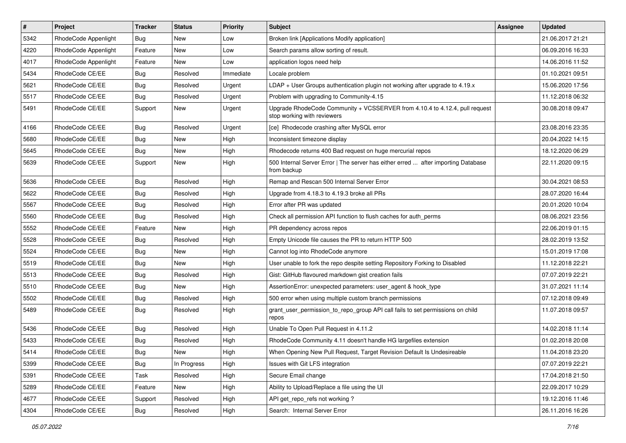| $\pmb{\#}$ | Project              | <b>Tracker</b> | <b>Status</b> | Priority  | <b>Subject</b>                                                                                             | Assignee | <b>Updated</b>   |
|------------|----------------------|----------------|---------------|-----------|------------------------------------------------------------------------------------------------------------|----------|------------------|
| 5342       | RhodeCode Appenlight | Bug            | New           | Low       | Broken link [Applications Modify application]                                                              |          | 21.06.2017 21:21 |
| 4220       | RhodeCode Appenlight | Feature        | <b>New</b>    | Low       | Search params allow sorting of result.                                                                     |          | 06.09.2016 16:33 |
| 4017       | RhodeCode Appenlight | Feature        | <b>New</b>    | Low       | application logos need help                                                                                |          | 14.06.2016 11:52 |
| 5434       | RhodeCode CE/EE      | Bug            | Resolved      | Immediate | Locale problem                                                                                             |          | 01.10.2021 09:51 |
| 5621       | RhodeCode CE/EE      | Bug            | Resolved      | Urgent    | $LDAP + User Groups authentication playing not working after upgrade to 4.19.x$                            |          | 15.06.2020 17:56 |
| 5517       | RhodeCode CE/EE      | Bug            | Resolved      | Urgent    | Problem with upgrading to Community-4.15                                                                   |          | 11.12.2018 06:32 |
| 5491       | RhodeCode CE/EE      | Support        | <b>New</b>    | Urgent    | Upgrade RhodeCode Community + VCSSERVER from 4.10.4 to 4.12.4, pull request<br>stop working with reviewers |          | 30.08.2018 09:47 |
| 4166       | RhodeCode CE/EE      | Bug            | Resolved      | Urgent    | [ce] Rhodecode crashing after MySQL error                                                                  |          | 23.08.2016 23:35 |
| 5680       | RhodeCode CE/EE      | Bug            | New           | High      | Inconsistent timezone display                                                                              |          | 20.04.2022 14:15 |
| 5645       | RhodeCode CE/EE      | Bug            | New           | High      | Rhodecode returns 400 Bad request on huge mercurial repos                                                  |          | 18.12.2020 06:29 |
| 5639       | RhodeCode CE/EE      | Support        | New           | High      | 500 Internal Server Error   The server has either erred  after importing Database<br>from backup           |          | 22.11.2020 09:15 |
| 5636       | RhodeCode CE/EE      | Bug            | Resolved      | High      | Remap and Rescan 500 Internal Server Error                                                                 |          | 30.04.2021 08:53 |
| 5622       | RhodeCode CE/EE      | <b>Bug</b>     | Resolved      | High      | Upgrade from 4.18.3 to 4.19.3 broke all PRs                                                                |          | 28.07.2020 16:44 |
| 5567       | RhodeCode CE/EE      | <b>Bug</b>     | Resolved      | High      | Error after PR was updated                                                                                 |          | 20.01.2020 10:04 |
| 5560       | RhodeCode CE/EE      | Bug            | Resolved      | High      | Check all permission API function to flush caches for auth perms                                           |          | 08.06.2021 23:56 |
| 5552       | RhodeCode CE/EE      | Feature        | <b>New</b>    | High      | PR dependency across repos                                                                                 |          | 22.06.2019 01:15 |
| 5528       | RhodeCode CE/EE      | Bug            | Resolved      | High      | Empty Unicode file causes the PR to return HTTP 500                                                        |          | 28.02.2019 13:52 |
| 5524       | RhodeCode CE/EE      | Bug            | New           | High      | Cannot log into RhodeCode anymore                                                                          |          | 15.01.2019 17:08 |
| 5519       | RhodeCode CE/EE      | Bug            | <b>New</b>    | High      | User unable to fork the repo despite setting Repository Forking to Disabled                                |          | 11.12.2018 22:21 |
| 5513       | RhodeCode CE/EE      | Bug            | Resolved      | High      | Gist: GitHub flavoured markdown gist creation fails                                                        |          | 07.07.2019 22:21 |
| 5510       | RhodeCode CE/EE      | <b>Bug</b>     | New           | High      | AssertionError: unexpected parameters: user_agent & hook_type                                              |          | 31.07.2021 11:14 |
| 5502       | RhodeCode CE/EE      | Bug            | Resolved      | High      | 500 error when using multiple custom branch permissions                                                    |          | 07.12.2018 09:49 |
| 5489       | RhodeCode CE/EE      | Bug            | Resolved      | High      | grant_user_permission_to_repo_group API call fails to set permissions on child<br>repos                    |          | 11.07.2018 09:57 |
| 5436       | RhodeCode CE/EE      | Bug            | Resolved      | High      | Unable To Open Pull Request in 4.11.2                                                                      |          | 14.02.2018 11:14 |
| 5433       | RhodeCode CE/EE      | Bug            | Resolved      | High      | RhodeCode Community 4.11 doesn't handle HG largefiles extension                                            |          | 01.02.2018 20:08 |
| 5414       | RhodeCode CE/EE      | Bug            | New           | High      | When Opening New Pull Request, Target Revision Default Is Undesireable                                     |          | 11.04.2018 23:20 |
| 5399       | RhodeCode CE/EE      | Bug            | In Progress   | High      | Issues with Git LFS integration                                                                            |          | 07.07.2019 22:21 |
| 5391       | RhodeCode CE/EE      | Task           | Resolved      | High      | Secure Email change                                                                                        |          | 17.04.2018 21:50 |
| 5289       | RhodeCode CE/EE      | Feature        | New           | High      | Ability to Upload/Replace a file using the UI                                                              |          | 22.09.2017 10:29 |
| 4677       | RhodeCode CE/EE      | Support        | Resolved      | High      | API get repo refs not working?                                                                             |          | 19.12.2016 11:46 |
| 4304       | RhodeCode CE/EE      | Bug            | Resolved      | High      | Search: Internal Server Error                                                                              |          | 26.11.2016 16:26 |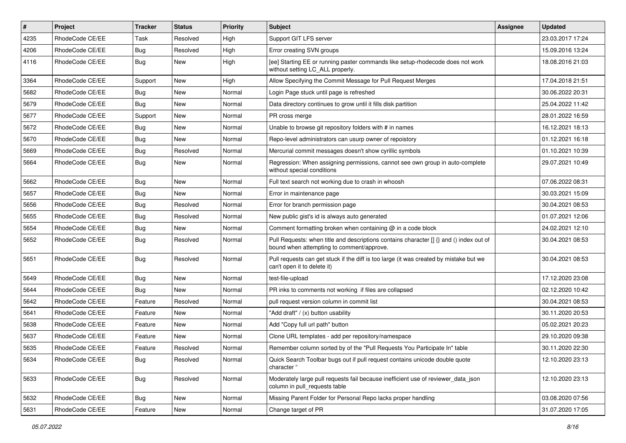| $\pmb{\#}$ | <b>Project</b>  | <b>Tracker</b> | <b>Status</b> | <b>Priority</b> | <b>Subject</b>                                                                                                                       | Assignee | <b>Updated</b>   |
|------------|-----------------|----------------|---------------|-----------------|--------------------------------------------------------------------------------------------------------------------------------------|----------|------------------|
| 4235       | RhodeCode CE/EE | Task           | Resolved      | High            | Support GIT LFS server                                                                                                               |          | 23.03.2017 17:24 |
| 4206       | RhodeCode CE/EE | Bug            | Resolved      | High            | Error creating SVN groups                                                                                                            |          | 15.09.2016 13:24 |
| 4116       | RhodeCode CE/EE | Bug            | New           | High            | [ee] Starting EE or running paster commands like setup-rhodecode does not work<br>without setting LC_ALL properly.                   |          | 18.08.2016 21:03 |
| 3364       | RhodeCode CE/EE | Support        | New           | High            | Allow Specifying the Commit Message for Pull Request Merges                                                                          |          | 17.04.2018 21:51 |
| 5682       | RhodeCode CE/EE | Bug            | New           | Normal          | Login Page stuck until page is refreshed                                                                                             |          | 30.06.2022 20:31 |
| 5679       | RhodeCode CE/EE | Bug            | New           | Normal          | Data directory continues to grow until it fills disk partition                                                                       |          | 25.04.2022 11:42 |
| 5677       | RhodeCode CE/EE | Support        | New           | Normal          | PR cross merge                                                                                                                       |          | 28.01.2022 16:59 |
| 5672       | RhodeCode CE/EE | Bug            | New           | Normal          | Unable to browse git repository folders with # in names                                                                              |          | 16.12.2021 18:13 |
| 5670       | RhodeCode CE/EE | Bug            | <b>New</b>    | Normal          | Repo-level administrators can usurp owner of repoistory                                                                              |          | 01.12.2021 16:18 |
| 5669       | RhodeCode CE/EE | <b>Bug</b>     | Resolved      | Normal          | Mercurial commit messages doesn't show cyrillic symbols                                                                              |          | 01.10.2021 10:39 |
| 5664       | RhodeCode CE/EE | Bug            | New           | Normal          | Regression: When assigning permissions, cannot see own group in auto-complete<br>without special conditions                          |          | 29.07.2021 10:49 |
| 5662       | RhodeCode CE/EE | Bug            | <b>New</b>    | Normal          | Full text search not working due to crash in whoosh                                                                                  |          | 07.06.2022 08:31 |
| 5657       | RhodeCode CE/EE | Bug            | <b>New</b>    | Normal          | Error in maintenance page                                                                                                            |          | 30.03.2021 15:09 |
| 5656       | RhodeCode CE/EE | <b>Bug</b>     | Resolved      | Normal          | Error for branch permission page                                                                                                     |          | 30.04.2021 08:53 |
| 5655       | RhodeCode CE/EE | Bug            | Resolved      | Normal          | New public gist's id is always auto generated                                                                                        |          | 01.07.2021 12:06 |
| 5654       | RhodeCode CE/EE | Bug            | <b>New</b>    | Normal          | Comment formatting broken when containing @ in a code block                                                                          |          | 24.02.2021 12:10 |
| 5652       | RhodeCode CE/EE | Bug            | Resolved      | Normal          | Pull Requests: when title and descriptions contains character [] {} and () index out of<br>bound when attempting to comment/approve. |          | 30.04.2021 08:53 |
| 5651       | RhodeCode CE/EE | <b>Bug</b>     | Resolved      | Normal          | Pull requests can get stuck if the diff is too large (it was created by mistake but we<br>can't open it to delete it)                |          | 30.04.2021 08:53 |
| 5649       | RhodeCode CE/EE | Bug            | <b>New</b>    | Normal          | test-file-upload                                                                                                                     |          | 17.12.2020 23:08 |
| 5644       | RhodeCode CE/EE | Bug            | <b>New</b>    | Normal          | PR inks to comments not working if files are collapsed                                                                               |          | 02.12.2020 10:42 |
| 5642       | RhodeCode CE/EE | Feature        | Resolved      | Normal          | pull request version column in commit list                                                                                           |          | 30.04.2021 08:53 |
| 5641       | RhodeCode CE/EE | Feature        | <b>New</b>    | Normal          | "Add draft" / (x) button usability                                                                                                   |          | 30.11.2020 20:53 |
| 5638       | RhodeCode CE/EE | Feature        | New           | Normal          | Add "Copy full url path" button                                                                                                      |          | 05.02.2021 20:23 |
| 5637       | RhodeCode CE/EE | Feature        | <b>New</b>    | Normal          | Clone URL templates - add per repository/namespace                                                                                   |          | 29.10.2020 09:38 |
| 5635       | RhodeCode CE/EE | Feature        | Resolved      | Normal          | Remember column sorted by of the "Pull Requests You Participate In" table                                                            |          | 30.11.2020 22:30 |
| 5634       | RhodeCode CE/EE | <b>Bug</b>     | Resolved      | Normal          | Quick Search Toolbar bugs out if pull request contains unicode double quote<br>character "                                           |          | 12.10.2020 23:13 |
| 5633       | RhodeCode CE/EE | Bug            | Resolved      | Normal          | Moderately large pull requests fail because inefficient use of reviewer_data_json<br>column in pull_requests table                   |          | 12.10.2020 23:13 |
| 5632       | RhodeCode CE/EE | <b>Bug</b>     | New           | Normal          | Missing Parent Folder for Personal Repo lacks proper handling                                                                        |          | 03.08.2020 07:56 |
| 5631       | RhodeCode CE/EE | Feature        | New           | Normal          | Change target of PR                                                                                                                  |          | 31.07.2020 17:05 |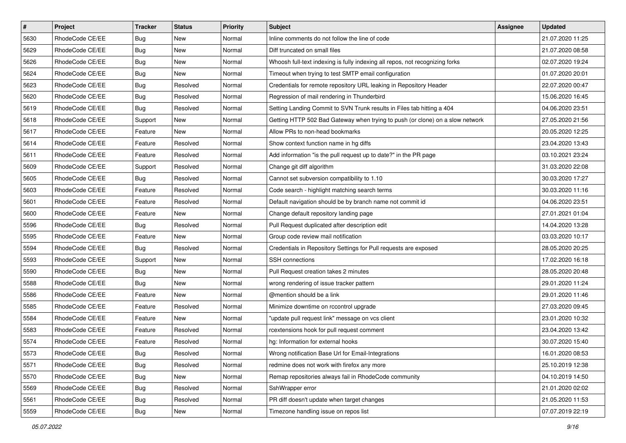| $\vert$ # | Project         | Tracker    | <b>Status</b> | <b>Priority</b> | <b>Subject</b>                                                                | <b>Assignee</b> | <b>Updated</b>   |
|-----------|-----------------|------------|---------------|-----------------|-------------------------------------------------------------------------------|-----------------|------------------|
| 5630      | RhodeCode CE/EE | <b>Bug</b> | New           | Normal          | Inline comments do not follow the line of code                                |                 | 21.07.2020 11:25 |
| 5629      | RhodeCode CE/EE | Bug        | New           | Normal          | Diff truncated on small files                                                 |                 | 21.07.2020 08:58 |
| 5626      | RhodeCode CE/EE | <b>Bug</b> | New           | Normal          | Whoosh full-text indexing is fully indexing all repos, not recognizing forks  |                 | 02.07.2020 19:24 |
| 5624      | RhodeCode CE/EE | <b>Bug</b> | New           | Normal          | Timeout when trying to test SMTP email configuration                          |                 | 01.07.2020 20:01 |
| 5623      | RhodeCode CE/EE | Bug        | Resolved      | Normal          | Credentials for remote repository URL leaking in Repository Header            |                 | 22.07.2020 00:47 |
| 5620      | RhodeCode CE/EE | <b>Bug</b> | Resolved      | Normal          | Regression of mail rendering in Thunderbird                                   |                 | 15.06.2020 16:45 |
| 5619      | RhodeCode CE/EE | Bug        | Resolved      | Normal          | Setting Landing Commit to SVN Trunk results in Files tab hitting a 404        |                 | 04.06.2020 23:51 |
| 5618      | RhodeCode CE/EE | Support    | New           | Normal          | Getting HTTP 502 Bad Gateway when trying to push (or clone) on a slow network |                 | 27.05.2020 21:56 |
| 5617      | RhodeCode CE/EE | Feature    | New           | Normal          | Allow PRs to non-head bookmarks                                               |                 | 20.05.2020 12:25 |
| 5614      | RhodeCode CE/EE | Feature    | Resolved      | Normal          | Show context function name in hg diffs                                        |                 | 23.04.2020 13:43 |
| 5611      | RhodeCode CE/EE | Feature    | Resolved      | Normal          | Add information "is the pull request up to date?" in the PR page              |                 | 03.10.2021 23:24 |
| 5609      | RhodeCode CE/EE | Support    | Resolved      | Normal          | Change git diff algorithm                                                     |                 | 31.03.2020 22:08 |
| 5605      | RhodeCode CE/EE | <b>Bug</b> | Resolved      | Normal          | Cannot set subversion compatibility to 1.10                                   |                 | 30.03.2020 17:27 |
| 5603      | RhodeCode CE/EE | Feature    | Resolved      | Normal          | Code search - highlight matching search terms                                 |                 | 30.03.2020 11:16 |
| 5601      | RhodeCode CE/EE | Feature    | Resolved      | Normal          | Default navigation should be by branch name not commit id                     |                 | 04.06.2020 23:51 |
| 5600      | RhodeCode CE/EE | Feature    | New           | Normal          | Change default repository landing page                                        |                 | 27.01.2021 01:04 |
| 5596      | RhodeCode CE/EE | Bug        | Resolved      | Normal          | Pull Request duplicated after description edit                                |                 | 14.04.2020 13:28 |
| 5595      | RhodeCode CE/EE | Feature    | <b>New</b>    | Normal          | Group code review mail notification                                           |                 | 03.03.2020 10:17 |
| 5594      | RhodeCode CE/EE | <b>Bug</b> | Resolved      | Normal          | Credentials in Repository Settings for Pull requests are exposed              |                 | 28.05.2020 20:25 |
| 5593      | RhodeCode CE/EE | Support    | New           | Normal          | <b>SSH</b> connections                                                        |                 | 17.02.2020 16:18 |
| 5590      | RhodeCode CE/EE | Bug        | New           | Normal          | Pull Request creation takes 2 minutes                                         |                 | 28.05.2020 20:48 |
| 5588      | RhodeCode CE/EE | <b>Bug</b> | New           | Normal          | wrong rendering of issue tracker pattern                                      |                 | 29.01.2020 11:24 |
| 5586      | RhodeCode CE/EE | Feature    | New           | Normal          | @mention should be a link                                                     |                 | 29.01.2020 11:46 |
| 5585      | RhodeCode CE/EE | Feature    | Resolved      | Normal          | Minimize downtime on rccontrol upgrade                                        |                 | 27.03.2020 09:45 |
| 5584      | RhodeCode CE/EE | Feature    | New           | Normal          | "update pull request link" message on vcs client                              |                 | 23.01.2020 10:32 |
| 5583      | RhodeCode CE/EE | Feature    | Resolved      | Normal          | rcextensions hook for pull request comment                                    |                 | 23.04.2020 13:42 |
| 5574      | RhodeCode CE/EE | Feature    | Resolved      | Normal          | hg: Information for external hooks                                            |                 | 30.07.2020 15:40 |
| 5573      | RhodeCode CE/EE | <b>Bug</b> | Resolved      | Normal          | Wrong notification Base Url for Email-Integrations                            |                 | 16.01.2020 08:53 |
| 5571      | RhodeCode CE/EE | Bug        | Resolved      | Normal          | redmine does not work with firefox any more                                   |                 | 25.10.2019 12:38 |
| 5570      | RhodeCode CE/EE | <b>Bug</b> | New           | Normal          | Remap repositories always fail in RhodeCode community                         |                 | 04.10.2019 14:50 |
| 5569      | RhodeCode CE/EE | Bug        | Resolved      | Normal          | SshWrapper error                                                              |                 | 21.01.2020 02:02 |
| 5561      | RhodeCode CE/EE | <b>Bug</b> | Resolved      | Normal          | PR diff doesn't update when target changes                                    |                 | 21.05.2020 11:53 |
| 5559      | RhodeCode CE/EE | <b>Bug</b> | New           | Normal          | Timezone handling issue on repos list                                         |                 | 07.07.2019 22:19 |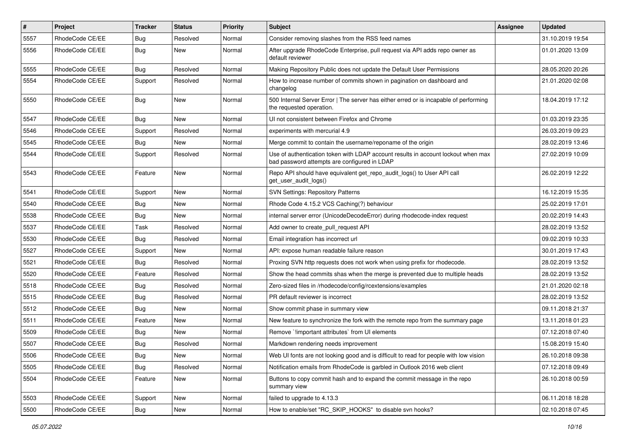| $\sharp$ | <b>Project</b>  | Tracker    | <b>Status</b> | <b>Priority</b> | <b>Subject</b>                                                                                                                    | Assignee | <b>Updated</b>   |
|----------|-----------------|------------|---------------|-----------------|-----------------------------------------------------------------------------------------------------------------------------------|----------|------------------|
| 5557     | RhodeCode CE/EE | <b>Bug</b> | Resolved      | Normal          | Consider removing slashes from the RSS feed names                                                                                 |          | 31.10.2019 19:54 |
| 5556     | RhodeCode CE/EE | <b>Bug</b> | New           | Normal          | After upgrade RhodeCode Enterprise, pull request via API adds repo owner as<br>default reviewer                                   |          | 01.01.2020 13:09 |
| 5555     | RhodeCode CE/EE | Bug        | Resolved      | Normal          | Making Repository Public does not update the Default User Permissions                                                             |          | 28.05.2020 20:26 |
| 5554     | RhodeCode CE/EE | Support    | Resolved      | Normal          | How to increase number of commits shown in pagination on dashboard and<br>changelog                                               |          | 21.01.2020 02:08 |
| 5550     | RhodeCode CE/EE | Bug        | New           | Normal          | 500 Internal Server Error   The server has either erred or is incapable of performing<br>the requested operation.                 |          | 18.04.2019 17:12 |
| 5547     | RhodeCode CE/EE | Bug        | New           | Normal          | UI not consistent between Firefox and Chrome                                                                                      |          | 01.03.2019 23:35 |
| 5546     | RhodeCode CE/EE | Support    | Resolved      | Normal          | experiments with mercurial 4.9                                                                                                    |          | 26.03.2019 09:23 |
| 5545     | RhodeCode CE/EE | Bug        | New           | Normal          | Merge commit to contain the username/reponame of the origin                                                                       |          | 28.02.2019 13:46 |
| 5544     | RhodeCode CE/EE | Support    | Resolved      | Normal          | Use of authentication token with LDAP account results in account lockout when max<br>bad password attempts are configured in LDAP |          | 27.02.2019 10:09 |
| 5543     | RhodeCode CE/EE | Feature    | New           | Normal          | Repo API should have equivalent get_repo_audit_logs() to User API call<br>get user audit logs()                                   |          | 26.02.2019 12:22 |
| 5541     | RhodeCode CE/EE | Support    | New           | Normal          | <b>SVN Settings: Repository Patterns</b>                                                                                          |          | 16.12.2019 15:35 |
| 5540     | RhodeCode CE/EE | Bug        | New           | Normal          | Rhode Code 4.15.2 VCS Caching(?) behaviour                                                                                        |          | 25.02.2019 17:01 |
| 5538     | RhodeCode CE/EE | <b>Bug</b> | New           | Normal          | internal server error (UnicodeDecodeError) during rhodecode-index request                                                         |          | 20.02.2019 14:43 |
| 5537     | RhodeCode CE/EE | Task       | Resolved      | Normal          | Add owner to create pull request API                                                                                              |          | 28.02.2019 13:52 |
| 5530     | RhodeCode CE/EE | Bug        | Resolved      | Normal          | Email integration has incorrect url                                                                                               |          | 09.02.2019 10:33 |
| 5527     | RhodeCode CE/EE | Support    | New           | Normal          | API: expose human readable failure reason                                                                                         |          | 30.01.2019 17:43 |
| 5521     | RhodeCode CE/EE | <b>Bug</b> | Resolved      | Normal          | Proxing SVN http requests does not work when using prefix for rhodecode.                                                          |          | 28.02.2019 13:52 |
| 5520     | RhodeCode CE/EE | Feature    | Resolved      | Normal          | Show the head commits shas when the merge is prevented due to multiple heads                                                      |          | 28.02.2019 13:52 |
| 5518     | RhodeCode CE/EE | <b>Bug</b> | Resolved      | Normal          | Zero-sized files in /rhodecode/config/rcextensions/examples                                                                       |          | 21.01.2020 02:18 |
| 5515     | RhodeCode CE/EE | <b>Bug</b> | Resolved      | Normal          | PR default reviewer is incorrect                                                                                                  |          | 28.02.2019 13:52 |
| 5512     | RhodeCode CE/EE | Bug        | New           | Normal          | Show commit phase in summary view                                                                                                 |          | 09.11.2018 21:37 |
| 5511     | RhodeCode CE/EE | Feature    | New           | Normal          | New feature to synchronize the fork with the remote repo from the summary page                                                    |          | 13.11.2018 01:23 |
| 5509     | RhodeCode CE/EE | Bug        | New           | Normal          | Remove `limportant attributes` from UI elements                                                                                   |          | 07.12.2018 07:40 |
| 5507     | RhodeCode CE/EE | <b>Bug</b> | Resolved      | Normal          | Markdown rendering needs improvement                                                                                              |          | 15.08.2019 15:40 |
| 5506     | RhodeCode CE/EE | <b>Bug</b> | New           | Normal          | Web UI fonts are not looking good and is difficult to read for people with low vision                                             |          | 26.10.2018 09:38 |
| 5505     | RhodeCode CE/EE | <b>Bug</b> | Resolved      | Normal          | Notification emails from RhodeCode is garbled in Outlook 2016 web client                                                          |          | 07.12.2018 09:49 |
| 5504     | RhodeCode CE/EE | Feature    | New           | Normal          | Buttons to copy commit hash and to expand the commit message in the repo<br>summary view                                          |          | 26.10.2018 00:59 |
| 5503     | RhodeCode CE/EE | Support    | New           | Normal          | failed to upgrade to 4.13.3                                                                                                       |          | 06.11.2018 18:28 |
| 5500     | RhodeCode CE/EE | Bug        | New           | Normal          | How to enable/set "RC_SKIP_HOOKS" to disable svn hooks?                                                                           |          | 02.10.2018 07:45 |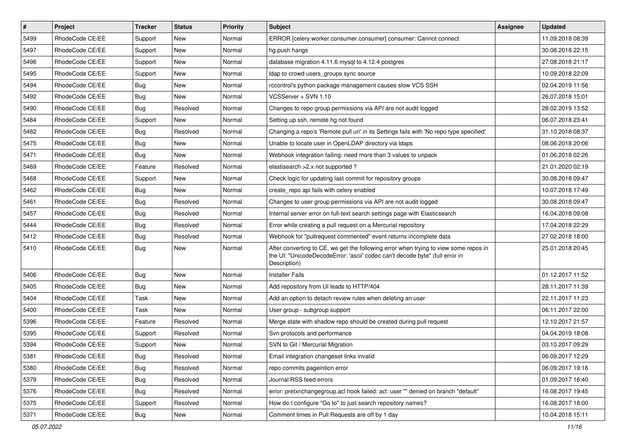| $\sharp$ | Project         | <b>Tracker</b> | <b>Status</b> | Priority | <b>Subject</b>                                                                                                                                                                       | <b>Assignee</b> | <b>Updated</b>   |
|----------|-----------------|----------------|---------------|----------|--------------------------------------------------------------------------------------------------------------------------------------------------------------------------------------|-----------------|------------------|
| 5499     | RhodeCode CE/EE | Support        | New           | Normal   | ERROR [celery.worker.consumer.consumer] consumer: Cannot connect                                                                                                                     |                 | 11.09.2018 08:39 |
| 5497     | RhodeCode CE/EE | Support        | New           | Normal   | hg push hangs                                                                                                                                                                        |                 | 30.08.2018 22:15 |
| 5496     | RhodeCode CE/EE | Support        | New           | Normal   | database migration 4.11.6 mysql to 4.12.4 postgres                                                                                                                                   |                 | 27.08.2018 21:17 |
| 5495     | RhodeCode CE/EE | Support        | <b>New</b>    | Normal   | Idap to crowd users_groups sync source                                                                                                                                               |                 | 10.09.2018 22:09 |
| 5494     | RhodeCode CE/EE | Bug            | <b>New</b>    | Normal   | rccontrol's python package management causes slow VCS SSH                                                                                                                            |                 | 02.04.2019 11:56 |
| 5492     | RhodeCode CE/EE | Bug            | <b>New</b>    | Normal   | VCSServer + SVN 1.10                                                                                                                                                                 |                 | 26.07.2018 15:01 |
| 5490     | RhodeCode CE/EE | <b>Bug</b>     | Resolved      | Normal   | Changes to repo group permissions via API are not audit logged                                                                                                                       |                 | 28.02.2019 13:52 |
| 5484     | RhodeCode CE/EE | Support        | <b>New</b>    | Normal   | Setting up ssh, remote hg not found                                                                                                                                                  |                 | 06.07.2018 23:41 |
| 5482     | RhodeCode CE/EE | <b>Bug</b>     | Resolved      | Normal   | Changing a repo's 'Remote pull uri' in its Settings fails with 'No repo type specified'                                                                                              |                 | 31.10.2018 08:37 |
| 5475     | RhodeCode CE/EE | Bug            | <b>New</b>    | Normal   | Unable to locate user in OpenLDAP directory via Idaps                                                                                                                                |                 | 08.06.2018 20:06 |
| 5471     | RhodeCode CE/EE | Bug            | <b>New</b>    | Normal   | Webhook integration failing: need more than 3 values to unpack                                                                                                                       |                 | 01.06.2018 02:26 |
| 5469     | RhodeCode CE/EE | Feature        | Resolved      | Normal   | elastisearch > 2.x not supported?                                                                                                                                                    |                 | 21.01.2020 02:19 |
| 5468     | RhodeCode CE/EE | Support        | <b>New</b>    | Normal   | Check logic for updating last commit for repository groups                                                                                                                           |                 | 30.08.2018 09:47 |
| 5462     | RhodeCode CE/EE | Bug            | <b>New</b>    | Normal   | create repo api fails with celery enabled                                                                                                                                            |                 | 10.07.2018 17:49 |
| 5461     | RhodeCode CE/EE | Bug            | Resolved      | Normal   | Changes to user group permissions via API are not audit logged                                                                                                                       |                 | 30.08.2018 09:47 |
| 5457     | RhodeCode CE/EE | Bug            | Resolved      | Normal   | Internal server error on full-text search settings page with Elasticsearch                                                                                                           |                 | 16.04.2018 09:08 |
| 5444     | RhodeCode CE/EE | Bug            | Resolved      | Normal   | Error while creating a pull request on a Mercurial repository                                                                                                                        |                 | 17.04.2018 22:29 |
| 5412     | RhodeCode CE/EE | Bug            | Resolved      | Normal   | Webhook for "pullrequest commented" event returns incomplete data                                                                                                                    |                 | 27.02.2018 18:00 |
| 5410     | RhodeCode CE/EE | Bug            | New           | Normal   | After converting to CE, we get the following error when trying to view some repos in<br>the UI: "UnicodeDecodeError: 'ascii' codec can't decode byte" (full error in<br>Description) |                 | 25.01.2018 20:45 |
| 5406     | RhodeCode CE/EE | <b>Bug</b>     | <b>New</b>    | Normal   | <b>Installer Fails</b>                                                                                                                                                               |                 | 01.12.2017 11:52 |
| 5405     | RhodeCode CE/EE | Bug            | <b>New</b>    | Normal   | Add repository from UI leads to HTTP/404                                                                                                                                             |                 | 28.11.2017 11:39 |
| 5404     | RhodeCode CE/EE | Task           | New           | Normal   | Add an option to detach review rules when deleting an user                                                                                                                           |                 | 22.11.2017 11:23 |
| 5400     | RhodeCode CE/EE | Task           | <b>New</b>    | Normal   | User group - subgroup support                                                                                                                                                        |                 | 06.11.2017 22:00 |
| 5396     | RhodeCode CE/EE | Feature        | Resolved      | Normal   | Merge state with shadow repo should be created during pull request                                                                                                                   |                 | 12.10.2017 21:57 |
| 5395     | RhodeCode CE/EE | Support        | Resolved      | Normal   | Svn protocols and performance                                                                                                                                                        |                 | 04.04.2019 18:08 |
| 5394     | RhodeCode CE/EE | Support        | <b>New</b>    | Normal   | SVN to Git / Mercurial Migration                                                                                                                                                     |                 | 03.10.2017 09:29 |
| 5381     | RhodeCode CE/EE | Bug            | Resolved      | Normal   | Email integration changeset links invalid                                                                                                                                            |                 | 06.09.2017 12:29 |
| 5380     | RhodeCode CE/EE | Bug            | Resolved      | Normal   | repo commits pageintion error                                                                                                                                                        |                 | 06.09.2017 19:16 |
| 5379     | RhodeCode CE/EE | Bug            | Resolved      | Normal   | Journal RSS feed errors                                                                                                                                                              |                 | 01.09.2017 16:40 |
| 5376     | RhodeCode CE/EE | <b>Bug</b>     | Resolved      | Normal   | error: pretxnchangegroup.acl hook failed: acl: user "" denied on branch "default"                                                                                                    |                 | 16.08.2017 19:45 |
| 5375     | RhodeCode CE/EE | Support        | Resolved      | Normal   | How do I configure "Go to" to just search repository names?                                                                                                                          |                 | 16.08.2017 18:00 |
| 5371     | RhodeCode CE/EE | Bug            | New           | Normal   | Comment times in Pull Requests are off by 1 day                                                                                                                                      |                 | 10.04.2018 15:11 |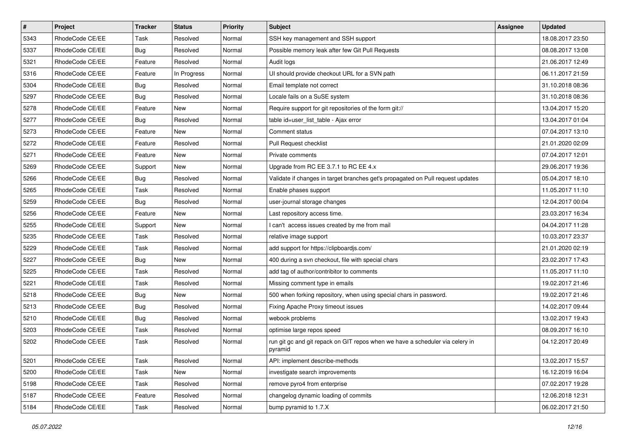| $\pmb{\#}$ | Project         | <b>Tracker</b> | <b>Status</b> | <b>Priority</b> | Subject                                                                                  | Assignee | <b>Updated</b>   |
|------------|-----------------|----------------|---------------|-----------------|------------------------------------------------------------------------------------------|----------|------------------|
| 5343       | RhodeCode CE/EE | Task           | Resolved      | Normal          | SSH key management and SSH support                                                       |          | 18.08.2017 23:50 |
| 5337       | RhodeCode CE/EE | <b>Bug</b>     | Resolved      | Normal          | Possible memory leak after few Git Pull Requests                                         |          | 08.08.2017 13:08 |
| 5321       | RhodeCode CE/EE | Feature        | Resolved      | Normal          | Audit logs                                                                               |          | 21.06.2017 12:49 |
| 5316       | RhodeCode CE/EE | Feature        | In Progress   | Normal          | UI should provide checkout URL for a SVN path                                            |          | 06.11.2017 21:59 |
| 5304       | RhodeCode CE/EE | Bug            | Resolved      | Normal          | Email template not correct                                                               |          | 31.10.2018 08:36 |
| 5297       | RhodeCode CE/EE | <b>Bug</b>     | Resolved      | Normal          | Locale fails on a SuSE system                                                            |          | 31.10.2018 08:36 |
| 5278       | RhodeCode CE/EE | Feature        | <b>New</b>    | Normal          | Require support for git repositories of the form git://                                  |          | 13.04.2017 15:20 |
| 5277       | RhodeCode CE/EE | <b>Bug</b>     | Resolved      | Normal          | table id=user list table - Ajax error                                                    |          | 13.04.2017 01:04 |
| 5273       | RhodeCode CE/EE | Feature        | New           | Normal          | Comment status                                                                           |          | 07.04.2017 13:10 |
| 5272       | RhodeCode CE/EE | Feature        | Resolved      | Normal          | Pull Request checklist                                                                   |          | 21.01.2020 02:09 |
| 5271       | RhodeCode CE/EE | Feature        | New           | Normal          | Private comments                                                                         |          | 07.04.2017 12:01 |
| 5269       | RhodeCode CE/EE | Support        | New           | Normal          | Upgrade from RC EE 3.7.1 to RC EE 4.x                                                    |          | 29.06.2017 19:36 |
| 5266       | RhodeCode CE/EE | <b>Bug</b>     | Resolved      | Normal          | Validate if changes in target branches get's propagated on Pull request updates          |          | 05.04.2017 18:10 |
| 5265       | RhodeCode CE/EE | Task           | Resolved      | Normal          | Enable phases support                                                                    |          | 11.05.2017 11:10 |
| 5259       | RhodeCode CE/EE | Bug            | Resolved      | Normal          | user-journal storage changes                                                             |          | 12.04.2017 00:04 |
| 5256       | RhodeCode CE/EE | Feature        | New           | Normal          | Last repository access time.                                                             |          | 23.03.2017 16:34 |
| 5255       | RhodeCode CE/EE | Support        | New           | Normal          | I can't access issues created by me from mail                                            |          | 04.04.2017 11:28 |
| 5235       | RhodeCode CE/EE | Task           | Resolved      | Normal          | relative image support                                                                   |          | 10.03.2017 23:37 |
| 5229       | RhodeCode CE/EE | Task           | Resolved      | Normal          | add support for https://clipboardjs.com/                                                 |          | 21.01.2020 02:19 |
| 5227       | RhodeCode CE/EE | <b>Bug</b>     | <b>New</b>    | Normal          | 400 during a svn checkout, file with special chars                                       |          | 23.02.2017 17:43 |
| 5225       | RhodeCode CE/EE | Task           | Resolved      | Normal          | add tag of author/contribitor to comments                                                |          | 11.05.2017 11:10 |
| 5221       | RhodeCode CE/EE | Task           | Resolved      | Normal          | Missing comment type in emails                                                           |          | 19.02.2017 21:46 |
| 5218       | RhodeCode CE/EE | Bug            | New           | Normal          | 500 when forking repository, when using special chars in password.                       |          | 19.02.2017 21:46 |
| 5213       | RhodeCode CE/EE | Bug            | Resolved      | Normal          | Fixing Apache Proxy timeout issues                                                       |          | 14.02.2017 09:44 |
| 5210       | RhodeCode CE/EE | <b>Bug</b>     | Resolved      | Normal          | webook problems                                                                          |          | 13.02.2017 19:43 |
| 5203       | RhodeCode CE/EE | Task           | Resolved      | Normal          | optimise large repos speed                                                               |          | 08.09.2017 16:10 |
| 5202       | RhodeCode CE/EE | Task           | Resolved      | Normal          | run git gc and git repack on GIT repos when we have a scheduler via celery in<br>pyramid |          | 04.12.2017 20:49 |
| 5201       | RhodeCode CE/EE | Task           | Resolved      | Normal          | API: implement describe-methods                                                          |          | 13.02.2017 15:57 |
| 5200       | RhodeCode CE/EE | Task           | New           | Normal          | investigate search improvements                                                          |          | 16.12.2019 16:04 |
| 5198       | RhodeCode CE/EE | Task           | Resolved      | Normal          | remove pyro4 from enterprise                                                             |          | 07.02.2017 19:28 |
| 5187       | RhodeCode CE/EE | Feature        | Resolved      | Normal          | changelog dynamic loading of commits                                                     |          | 12.06.2018 12:31 |
| 5184       | RhodeCode CE/EE | Task           | Resolved      | Normal          | bump pyramid to 1.7.X                                                                    |          | 06.02.2017 21:50 |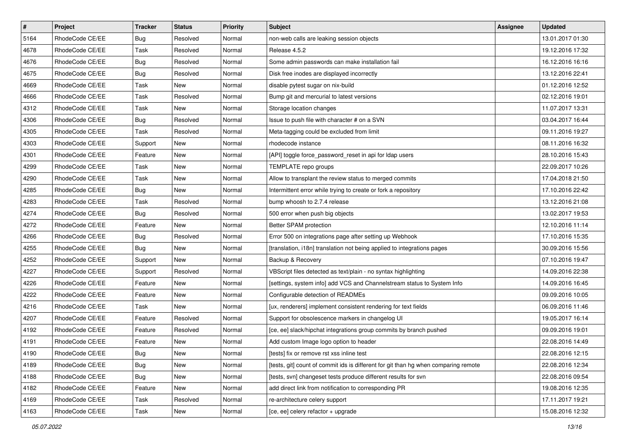| $\sharp$ | Project         | <b>Tracker</b> | <b>Status</b> | Priority | <b>Subject</b>                                                                      | <b>Assignee</b> | <b>Updated</b>   |
|----------|-----------------|----------------|---------------|----------|-------------------------------------------------------------------------------------|-----------------|------------------|
| 5164     | RhodeCode CE/EE | Bug            | Resolved      | Normal   | non-web calls are leaking session objects                                           |                 | 13.01.2017 01:30 |
| 4678     | RhodeCode CE/EE | Task           | Resolved      | Normal   | Release 4.5.2                                                                       |                 | 19.12.2016 17:32 |
| 4676     | RhodeCode CE/EE | Bug            | Resolved      | Normal   | Some admin passwords can make installation fail                                     |                 | 16.12.2016 16:16 |
| 4675     | RhodeCode CE/EE | <b>Bug</b>     | Resolved      | Normal   | Disk free inodes are displayed incorrectly                                          |                 | 13.12.2016 22:41 |
| 4669     | RhodeCode CE/EE | Task           | <b>New</b>    | Normal   | disable pytest sugar on nix-build                                                   |                 | 01.12.2016 12:52 |
| 4666     | RhodeCode CE/EE | Task           | Resolved      | Normal   | Bump git and mercurial to latest versions                                           |                 | 02.12.2016 19:01 |
| 4312     | RhodeCode CE/EE | Task           | New           | Normal   | Storage location changes                                                            |                 | 11.07.2017 13:31 |
| 4306     | RhodeCode CE/EE | Bug            | Resolved      | Normal   | Issue to push file with character # on a SVN                                        |                 | 03.04.2017 16:44 |
| 4305     | RhodeCode CE/EE | Task           | Resolved      | Normal   | Meta-tagging could be excluded from limit                                           |                 | 09.11.2016 19:27 |
| 4303     | RhodeCode CE/EE | Support        | <b>New</b>    | Normal   | rhodecode instance                                                                  |                 | 08.11.2016 16:32 |
| 4301     | RhodeCode CE/EE | Feature        | New           | Normal   | [API] toggle force_password_reset in api for Idap users                             |                 | 28.10.2016 15:43 |
| 4299     | RhodeCode CE/EE | Task           | New           | Normal   | TEMPLATE repo groups                                                                |                 | 22.09.2017 10:26 |
| 4290     | RhodeCode CE/EE | Task           | New           | Normal   | Allow to transplant the review status to merged commits                             |                 | 17.04.2018 21:50 |
| 4285     | RhodeCode CE/EE | Bug            | New           | Normal   | Intermittent error while trying to create or fork a repository                      |                 | 17.10.2016 22:42 |
| 4283     | RhodeCode CE/EE | Task           | Resolved      | Normal   | bump whoosh to 2.7.4 release                                                        |                 | 13.12.2016 21:08 |
| 4274     | RhodeCode CE/EE | Bug            | Resolved      | Normal   | 500 error when push big objects                                                     |                 | 13.02.2017 19:53 |
| 4272     | RhodeCode CE/EE | Feature        | New           | Normal   | Better SPAM protection                                                              |                 | 12.10.2016 11:14 |
| 4266     | RhodeCode CE/EE | Bug            | Resolved      | Normal   | Error 500 on integrations page after setting up Webhook                             |                 | 17.10.2016 15:35 |
| 4255     | RhodeCode CE/EE | Bug            | New           | Normal   | [translation, i18n] translation not being applied to integrations pages             |                 | 30.09.2016 15:56 |
| 4252     | RhodeCode CE/EE | Support        | New           | Normal   | Backup & Recovery                                                                   |                 | 07.10.2016 19:47 |
| 4227     | RhodeCode CE/EE | Support        | Resolved      | Normal   | VBScript files detected as text/plain - no syntax highlighting                      |                 | 14.09.2016 22:38 |
| 4226     | RhodeCode CE/EE | Feature        | New           | Normal   | [settings, system info] add VCS and Channelstream status to System Info             |                 | 14.09.2016 16:45 |
| 4222     | RhodeCode CE/EE | Feature        | <b>New</b>    | Normal   | Configurable detection of READMEs                                                   |                 | 09.09.2016 10:05 |
| 4216     | RhodeCode CE/EE | Task           | <b>New</b>    | Normal   | [ux, renderers] implement consistent rendering for text fields                      |                 | 06.09.2016 11:46 |
| 4207     | RhodeCode CE/EE | Feature        | Resolved      | Normal   | Support for obsolescence markers in changelog UI                                    |                 | 19.05.2017 16:14 |
| 4192     | RhodeCode CE/EE | Feature        | Resolved      | Normal   | [ce, ee] slack/hipchat integrations group commits by branch pushed                  |                 | 09.09.2016 19:01 |
| 4191     | RhodeCode CE/EE | Feature        | New           | Normal   | Add custom Image logo option to header                                              |                 | 22.08.2016 14:49 |
| 4190     | RhodeCode CE/EE | <b>Bug</b>     | New           | Normal   | [tests] fix or remove rst xss inline test                                           |                 | 22.08.2016 12:15 |
| 4189     | RhodeCode CE/EE | Bug            | New           | Normal   | [tests, git] count of commit ids is different for git than hg when comparing remote |                 | 22.08.2016 12:34 |
| 4188     | RhodeCode CE/EE | <b>Bug</b>     | New           | Normal   | [tests, svn] changeset tests produce different results for svn                      |                 | 22.08.2016 09:54 |
| 4182     | RhodeCode CE/EE | Feature        | New           | Normal   | add direct link from notification to corresponding PR                               |                 | 19.08.2016 12:35 |
| 4169     | RhodeCode CE/EE | Task           | Resolved      | Normal   | re-architecture celery support                                                      |                 | 17.11.2017 19:21 |
| 4163     | RhodeCode CE/EE | Task           | New           | Normal   | [ce, ee] celery refactor + upgrade                                                  |                 | 15.08.2016 12:32 |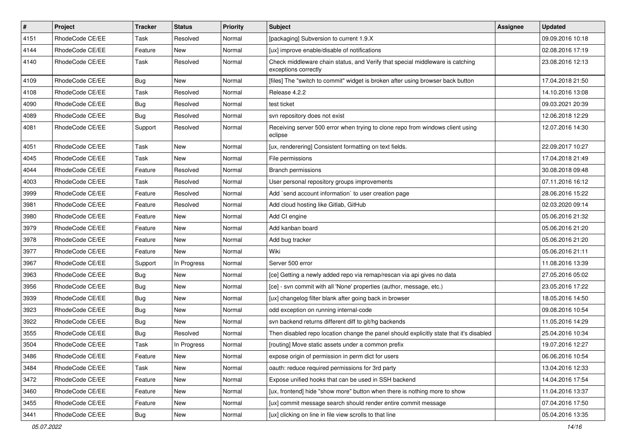| $\vert$ # | Project         | <b>Tracker</b> | <b>Status</b> | <b>Priority</b> | <b>Subject</b>                                                                                        | <b>Assignee</b> | <b>Updated</b>   |
|-----------|-----------------|----------------|---------------|-----------------|-------------------------------------------------------------------------------------------------------|-----------------|------------------|
| 4151      | RhodeCode CE/EE | Task           | Resolved      | Normal          | [packaging] Subversion to current 1.9.X                                                               |                 | 09.09.2016 10:18 |
| 4144      | RhodeCode CE/EE | Feature        | New           | Normal          | [ux] improve enable/disable of notifications                                                          |                 | 02.08.2016 17:19 |
| 4140      | RhodeCode CE/EE | Task           | Resolved      | Normal          | Check middleware chain status, and Verify that special middleware is catching<br>exceptions correctly |                 | 23.08.2016 12:13 |
| 4109      | RhodeCode CE/EE | <b>Bug</b>     | New           | Normal          | [files] The "switch to commit" widget is broken after using browser back button                       |                 | 17.04.2018 21:50 |
| 4108      | RhodeCode CE/EE | Task           | Resolved      | Normal          | Release 4.2.2                                                                                         |                 | 14.10.2016 13:08 |
| 4090      | RhodeCode CE/EE | <b>Bug</b>     | Resolved      | Normal          | test ticket                                                                                           |                 | 09.03.2021 20:39 |
| 4089      | RhodeCode CE/EE | <b>Bug</b>     | Resolved      | Normal          | svn repository does not exist                                                                         |                 | 12.06.2018 12:29 |
| 4081      | RhodeCode CE/EE | Support        | Resolved      | Normal          | Receiving server 500 error when trying to clone repo from windows client using<br>eclipse             |                 | 12.07.2016 14:30 |
| 4051      | RhodeCode CE/EE | Task           | New           | Normal          | [ux, renderering] Consistent formatting on text fields.                                               |                 | 22.09.2017 10:27 |
| 4045      | RhodeCode CE/EE | Task           | New           | Normal          | File permissions                                                                                      |                 | 17.04.2018 21:49 |
| 4044      | RhodeCode CE/EE | Feature        | Resolved      | Normal          | Branch permissions                                                                                    |                 | 30.08.2018 09:48 |
| 4003      | RhodeCode CE/EE | Task           | Resolved      | Normal          | User personal repository groups improvements                                                          |                 | 07.11.2016 16:12 |
| 3999      | RhodeCode CE/EE | Feature        | Resolved      | Normal          | Add `send account information` to user creation page                                                  |                 | 28.06.2016 15:22 |
| 3981      | RhodeCode CE/EE | Feature        | Resolved      | Normal          | Add cloud hosting like Gitlab, GitHub                                                                 |                 | 02.03.2020 09:14 |
| 3980      | RhodeCode CE/EE | Feature        | New           | Normal          | Add CI engine                                                                                         |                 | 05.06.2016 21:32 |
| 3979      | RhodeCode CE/EE | Feature        | New           | Normal          | Add kanban board                                                                                      |                 | 05.06.2016 21:20 |
| 3978      | RhodeCode CE/EE | Feature        | New           | Normal          | Add bug tracker                                                                                       |                 | 05.06.2016 21:20 |
| 3977      | RhodeCode CE/EE | Feature        | New           | Normal          | Wiki                                                                                                  |                 | 05.06.2016 21:11 |
| 3967      | RhodeCode CE/EE | Support        | In Progress   | Normal          | Server 500 error                                                                                      |                 | 11.08.2016 13:39 |
| 3963      | RhodeCode CE/EE | <b>Bug</b>     | New           | Normal          | [ce] Getting a newly added repo via remap/rescan via api gives no data                                |                 | 27.05.2016 05:02 |
| 3956      | RhodeCode CE/EE | <b>Bug</b>     | New           | Normal          | [ce] - svn commit with all 'None' properties (author, message, etc.)                                  |                 | 23.05.2016 17:22 |
| 3939      | RhodeCode CE/EE | <b>Bug</b>     | New           | Normal          | [ux] changelog filter blank after going back in browser                                               |                 | 18.05.2016 14:50 |
| 3923      | RhodeCode CE/EE | <b>Bug</b>     | New           | Normal          | odd exception on running internal-code                                                                |                 | 09.08.2016 10:54 |
| 3922      | RhodeCode CE/EE | Bug            | New           | Normal          | svn backend returns different diff to git/hg backends                                                 |                 | 11.05.2016 14:29 |
| 3555      | RhodeCode CE/EE | <b>Bug</b>     | Resolved      | Normal          | Then disabled repo location change the panel should explicitly state that it's disabled               |                 | 25.04.2016 10:34 |
| 3504      | RhodeCode CE/EE | Task           | In Progress   | Normal          | [routing] Move static assets under a common prefix                                                    |                 | 19.07.2016 12:27 |
| 3486      | RhodeCode CE/EE | Feature        | New           | Normal          | expose origin of permission in perm dict for users                                                    |                 | 06.06.2016 10:54 |
| 3484      | RhodeCode CE/EE | Task           | New           | Normal          | oauth: reduce required permissions for 3rd party                                                      |                 | 13.04.2016 12:33 |
| 3472      | RhodeCode CE/EE | Feature        | New           | Normal          | Expose unified hooks that can be used in SSH backend                                                  |                 | 14.04.2016 17:54 |
| 3460      | RhodeCode CE/EE | Feature        | New           | Normal          | [ux, frontend] hide "show more" button when there is nothing more to show                             |                 | 11.04.2016 13:37 |
| 3455      | RhodeCode CE/EE | Feature        | New           | Normal          | [ux] commit message search should render entire commit message                                        |                 | 07.04.2016 17:50 |
| 3441      | RhodeCode CE/EE | <b>Bug</b>     | New           | Normal          | [ux] clicking on line in file view scrolls to that line                                               |                 | 05.04.2016 13:35 |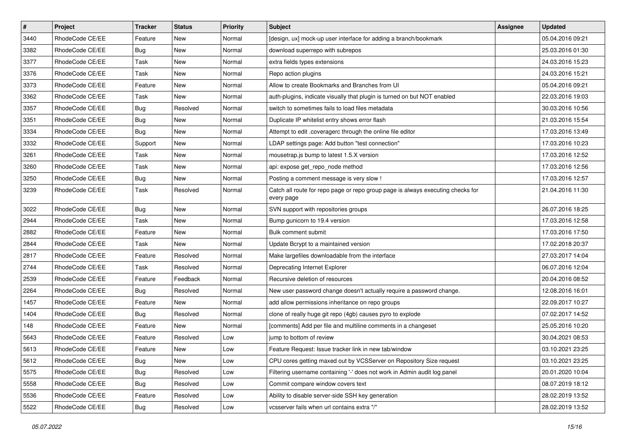| $\pmb{\#}$ | Project         | <b>Tracker</b> | <b>Status</b> | <b>Priority</b> | <b>Subject</b>                                                                                | <b>Assignee</b> | <b>Updated</b>   |
|------------|-----------------|----------------|---------------|-----------------|-----------------------------------------------------------------------------------------------|-----------------|------------------|
| 3440       | RhodeCode CE/EE | Feature        | New           | Normal          | [design, ux] mock-up user interface for adding a branch/bookmark                              |                 | 05.04.2016 09:21 |
| 3382       | RhodeCode CE/EE | Bug            | <b>New</b>    | Normal          | download superrepo with subrepos                                                              |                 | 25.03.2016 01:30 |
| 3377       | RhodeCode CE/EE | Task           | New           | Normal          | extra fields types extensions                                                                 |                 | 24.03.2016 15:23 |
| 3376       | RhodeCode CE/EE | Task           | New           | Normal          | Repo action plugins                                                                           |                 | 24.03.2016 15:21 |
| 3373       | RhodeCode CE/EE | Feature        | <b>New</b>    | Normal          | Allow to create Bookmarks and Branches from UI                                                |                 | 05.04.2016 09:21 |
| 3362       | RhodeCode CE/EE | Task           | <b>New</b>    | Normal          | auth-plugins, indicate visually that plugin is turned on but NOT enabled                      |                 | 22.03.2016 19:03 |
| 3357       | RhodeCode CE/EE | Bug            | Resolved      | Normal          | switch to sometimes fails to load files metadata                                              |                 | 30.03.2016 10:56 |
| 3351       | RhodeCode CE/EE | Bug            | New           | Normal          | Duplicate IP whitelist entry shows error flash                                                |                 | 21.03.2016 15:54 |
| 3334       | RhodeCode CE/EE | Bug            | <b>New</b>    | Normal          | Attempt to edit .coveragerc through the online file editor                                    |                 | 17.03.2016 13:49 |
| 3332       | RhodeCode CE/EE | Support        | <b>New</b>    | Normal          | LDAP settings page: Add button "test connection"                                              |                 | 17.03.2016 10:23 |
| 3261       | RhodeCode CE/EE | Task           | New           | Normal          | mousetrap.js bump to latest 1.5.X version                                                     |                 | 17.03.2016 12:52 |
| 3260       | RhodeCode CE/EE | Task           | New           | Normal          | api: expose get repo node method                                                              |                 | 17.03.2016 12:56 |
| 3250       | RhodeCode CE/EE | Bug            | New           | Normal          | Posting a comment message is very slow !                                                      |                 | 17.03.2016 12:57 |
| 3239       | RhodeCode CE/EE | Task           | Resolved      | Normal          | Catch all route for repo page or repo group page is always executing checks for<br>every page |                 | 21.04.2016 11:30 |
| 3022       | RhodeCode CE/EE | <b>Bug</b>     | <b>New</b>    | Normal          | SVN support with repositories groups                                                          |                 | 26.07.2016 18:25 |
| 2944       | RhodeCode CE/EE | Task           | New           | Normal          | Bump gunicorn to 19.4 version                                                                 |                 | 17.03.2016 12:58 |
| 2882       | RhodeCode CE/EE | Feature        | <b>New</b>    | Normal          | Bulk comment submit                                                                           |                 | 17.03.2016 17:50 |
| 2844       | RhodeCode CE/EE | Task           | <b>New</b>    | Normal          | Update Bcrypt to a maintained version                                                         |                 | 17.02.2018 20:37 |
| 2817       | RhodeCode CE/EE | Feature        | Resolved      | Normal          | Make largefiles downloadable from the interface                                               |                 | 27.03.2017 14:04 |
| 2744       | RhodeCode CE/EE | Task           | Resolved      | Normal          | Deprecating Internet Explorer                                                                 |                 | 06.07.2016 12:04 |
| 2539       | RhodeCode CE/EE | Feature        | Feedback      | Normal          | Recursive deletion of resources                                                               |                 | 20.04.2016 08:52 |
| 2264       | RhodeCode CE/EE | Bug            | Resolved      | Normal          | New user password change doesn't actually require a password change.                          |                 | 12.08.2016 16:01 |
| 1457       | RhodeCode CE/EE | Feature        | <b>New</b>    | Normal          | add allow permissions inheritance on repo groups                                              |                 | 22.09.2017 10:27 |
| 1404       | RhodeCode CE/EE | Bug            | Resolved      | Normal          | clone of really huge git repo (4gb) causes pyro to explode                                    |                 | 07.02.2017 14:52 |
| 148        | RhodeCode CE/EE | Feature        | <b>New</b>    | Normal          | [comments] Add per file and multiline comments in a changeset                                 |                 | 25.05.2016 10:20 |
| 5643       | RhodeCode CE/EE | Feature        | Resolved      | Low             | jump to bottom of review                                                                      |                 | 30.04.2021 08:53 |
| 5613       | RhodeCode CE/EE | Feature        | New           | Low             | Feature Request: Issue tracker link in new tab/window                                         |                 | 03.10.2021 23:25 |
| 5612       | RhodeCode CE/EE | <b>Bug</b>     | New           | Low             | CPU cores getting maxed out by VCSServer on Repository Size request                           |                 | 03.10.2021 23:25 |
| 5575       | RhodeCode CE/EE | <b>Bug</b>     | Resolved      | Low             | Filtering username containing '-' does not work in Admin audit log panel                      |                 | 20.01.2020 10:04 |
| 5558       | RhodeCode CE/EE | <b>Bug</b>     | Resolved      | Low             | Commit compare window covers text                                                             |                 | 08.07.2019 18:12 |
| 5536       | RhodeCode CE/EE | Feature        | Resolved      | Low             | Ability to disable server-side SSH key generation                                             |                 | 28.02.2019 13:52 |
| 5522       | RhodeCode CE/EE | <b>Bug</b>     | Resolved      | Low             | vcsserver fails when url contains extra "/"                                                   |                 | 28.02.2019 13:52 |